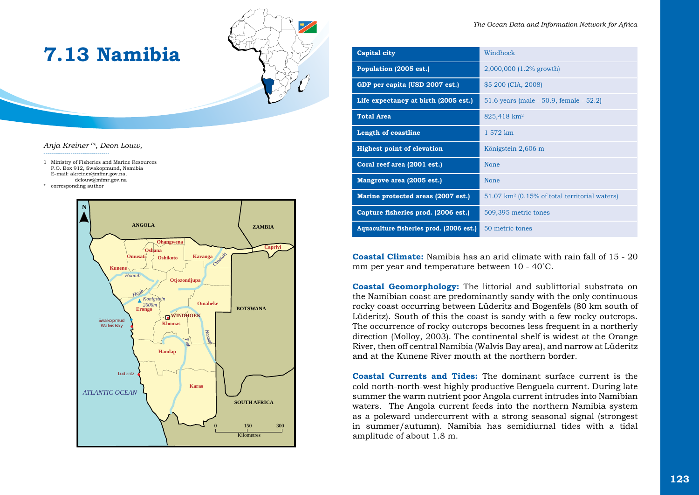

# **7.13 Namibia**

## *Anja Kreiner I \*, Deon Louw,*

----------------------------------

1 Ministry of Fisheries and Marine Resources P.O. Box 912, Swakopmund, Namibia E-mail: akreiner@mfmr.gov.na, dclouw@mfmr.gov.na corresponding author



|  |  |  |  | The Ocean Data and Information Network for Africa |  |  |  |
|--|--|--|--|---------------------------------------------------|--|--|--|
|--|--|--|--|---------------------------------------------------|--|--|--|

| Capital city                            | Windhoek                                                 |  |  |
|-----------------------------------------|----------------------------------------------------------|--|--|
| Population (2005 est.)                  | 2,000,000 (1.2% growth)                                  |  |  |
| GDP per capita (USD 2007 est.)          | \$5 200 (CIA, 2008)                                      |  |  |
| Life expectancy at birth (2005 est.)    | 51.6 years (male - 50.9, female - 52.2)                  |  |  |
| <b>Total Area</b>                       | 825,418 km <sup>2</sup>                                  |  |  |
| <b>Length of coastline</b>              | 1 572 km                                                 |  |  |
| <b>Highest point of elevation</b>       | Königstein 2,606 m                                       |  |  |
| Coral reef area (2001 est.)             | <b>None</b>                                              |  |  |
| Mangrove area (2005 est.)               | <b>None</b>                                              |  |  |
| Marine protected areas (2007 est.)      | $51.07 \text{ km}^2$ (0.15% of total territorial waters) |  |  |
| Capture fisheries prod. (2006 est.)     | 509,395 metric tones                                     |  |  |
| Aquaculture fisheries prod. (2006 est.) | 50 metric tones                                          |  |  |

**Coastal Climate:** Namibia has an arid climate with rain fall of 15 - 20 mm per year and temperature between 10 - 40˚C.

**Coastal Geomorphology:** The littorial and sublittorial substrata on the Namibian coast are predominantly sandy with the only continuous rocky coast occurring between Lüderitz and Bogenfels (80 km south of Lüderitz). South of this the coast is sandy with a few rocky outcrops. The occurrence of rocky outcrops becomes less frequent in a northerly direction (Molloy, 2003). The continental shelf is widest at the Orange River, then off central Namibia (Walvis Bay area), and narrow at Lüderitz and at the Kunene River mouth at the northern border.

**Coastal Currents and Tides:** The dominant surface current is the cold north-north-west highly productive Benguela current. During late summer the warm nutrient poor Angola current intrudes into Namibian waters. The Angola current feeds into the northern Namibia system as a poleward undercurrent with a strong seasonal signal (strongest in summer/autumn). Namibia has semidiurnal tides with a tidal amplitude of about 1.8 m.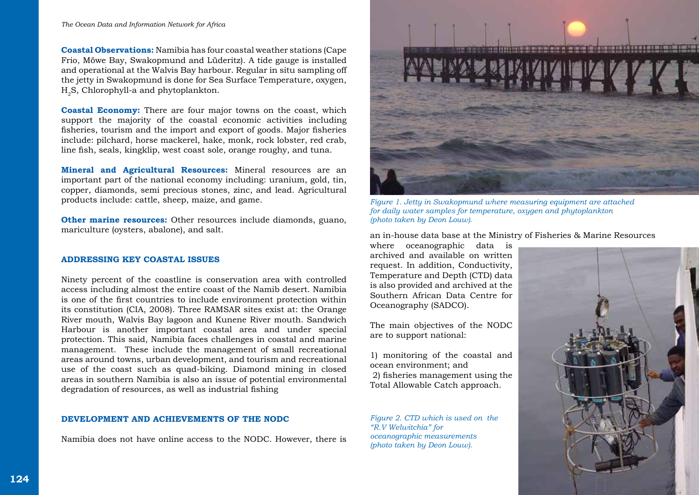**Coastal Observations:** Namibia has four coastal weather stations (Cape Frio, Möwe Bay, Swakopmund and Lüderitz). A tide gauge is installed and operational at the Walvis Bay harbour. Regular in situ sampling off the jetty in Swakopmund is done for Sea Surface Temperature, oxygen, H<sub>2</sub>S, Chlorophyll-a and phytoplankton.

**Coastal Economy:** There are four major towns on the coast, which support the majority of the coastal economic activities including fisheries, tourism and the import and export of goods. Major fisheries include: pilchard, horse mackerel, hake, monk, rock lobster, red crab, line fish, seals, kingklip, west coast sole, orange roughy, and tuna.

**Mineral and Agricultural Resources:** Mineral resources are an important part of the national economy including: uranium, gold, tin, copper, diamonds, semi precious stones, zinc, and lead. Agricultural products include: cattle, sheep, maize, and game.

**Other marine resources:** Other resources include diamonds, guano, mariculture (oysters, abalone), and salt.

#### **ADDRESSING KEY COASTAL ISSUES**

Ninety percent of the coastline is conservation area with controlled access including almost the entire coast of the Namib desert. Namibia is one of the first countries to include environment protection within its constitution (CIA, 2008). Three RAMSAR sites exist at: the Orange River mouth, Walvis Bay lagoon and Kunene River mouth. Sandwich Harbour is another important coastal area and under special protection. This said, Namibia faces challenges in coastal and marine management. These include the management of small recreational areas around towns, urban development, and tourism and recreational use of the coast such as quad-biking. Diamond mining in closed areas in southern Namibia is also an issue of potential environmental degradation of resources, as well as industrial fishing

## **DEVELOPMENT AND ACHIEVEMENTS OF THE NODC**

Namibia does not have online access to the NODC. However, there is



*Figure 1. Jetty in Swakopmund where measuring equipment are attached for daily water samples for temperature, oxygen and phytoplankton (photo taken by Deon Louw).*

an in-house data base at the Ministry of Fisheries & Marine Resources

where oceanographic data is archived and available on written request. In addition, Conductivity, Temperature and Depth (CTD) data is also provided and archived at the Southern African Data Centre for Oceanography (SADCO).

The main objectives of the NODC are to support national:

1) monitoring of the coastal and ocean environment; and 2) fisheries management using the Total Allowable Catch approach.

*Figure 2. CTD which is used on the "R.V Welwitchia" for oceanographic measurements (photo taken by Deon Louw).*

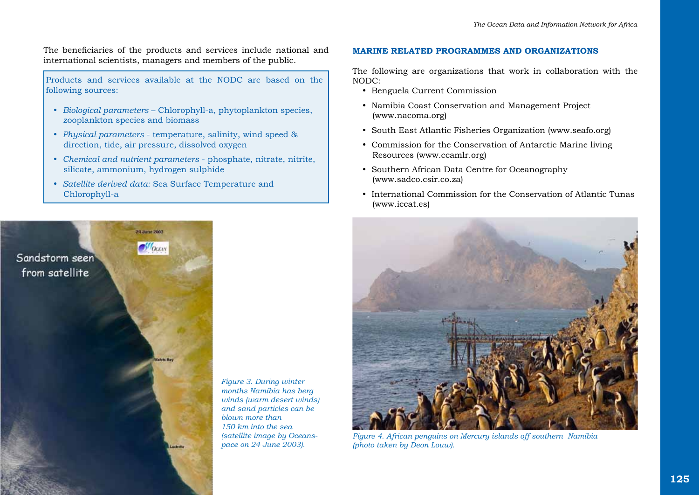The beneficiaries of the products and services include national and international scientists, managers and members of the public.

Products and services available at the NODC are based on the following sources:

- y *Biological parameters* Chlorophyll-a, phytoplankton species, zooplankton species and biomass
- *Physical parameters* temperature, salinity, wind speed & direction, tide, air pressure, dissolved oxygen
- y *Chemical and nutrient parameters* phosphate, nitrate, nitrite, silicate, ammonium, hydrogen sulphide
- y *Satellite derived data:* Sea Surface Temperature and Chlorophyll-a



*Figure 3. During winter months Namibia has berg winds (warm desert winds) and sand particles can be blown more than 150 km into the sea (satellite image by Oceanspace on 24 June 2003).*

#### **MARINE RELATED PROGRAMMES AND ORGANIZATIONS**

The following are organizations that work in collaboration with the NODC:

- Benguela Current Commission
- Namibia Coast Conservation and Management Project (www.nacoma.org)
- South East Atlantic Fisheries Organization (www.seafo.org)
- Commission for the Conservation of Antarctic Marine living Resources (www.ccamlr.org)
- Southern African Data Centre for Oceanography (www.sadco.csir.co.za)
- International Commission for the Conservation of Atlantic Tunas (www.iccat.es)



*Figure 4. African penguins on Mercury islands off southern Namibia (photo taken by Deon Louw).*